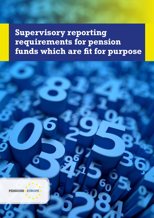**Supervisory reporting requirements for pension funds which are fit for purpose**

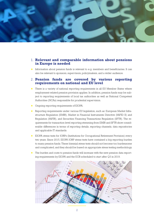

## 1. **Relevant and comparable information about pensions in Europe is needed**

★ Information about pension funds is relevant to e.g. members and beneficiaries. It can also be relevant to sponsors, supervisors, policymakers, and a wider audience.

## 2. **Pension funds are covered by various reporting requirements on national and EU level**

- ★ There is a variety of national reporting requirements in all EU Member States where employment-related pension provision applies. In addition, pension funds may be subject to reporting requirements of local tax authorities as well as National Competent Authorities (NCAs) responsible for prudential supervision.
- ★ Ongoing reporting requirements of EIOPA.
- ★ Reporting requirements under various EU legislation, such as: European Market Infrastructure Regulation (EMIR), Market in Financial Instruments Directive (MiFID II) and Regulation (MiFIR), and Securities Financing Transactions Regulation (SFTR). The requirements for transaction-level reporting stemming from EMIR and SFTR show considerable differences in terms of reporting details, reporting channels, data repositories and applicable IT standards.
- ★ EIOPA stress tests for IORPs (Institutions for Occupational Retirement Provision) every two years. Since 2015, EIOPA IORP stress tests have contained a big reporting burden to many pension funds. These biennial stress tests should not become too burdensome and complicated, and they should be based on appropriate stress testing methodology.
- ★ The burden and costs to pension funds will increase with the new pension data reporting requirements by EIOPA and the ECB scheduled to start after Q3 in 2019.

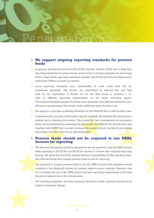

## 3. **We support aligning reporting standards for pension funds**

- ★ In general, we welcome that the ECB, EIOPA, Eurostat, and the OECD aim to align their reporting standards for pension funds, and in order to achieve synergies we encourage them to align all the reporting standards together with NCAs and National Supervisory Authorities (NSAs) as much as possible.
- ★ Local reporting standards vary considerably in most cases from the supranational standards. The former are embedded in national law and they may not be overridden. It should not be the final result to produce a variety of different reporting requirements on the same individual aspect. The required detailed analysis of various items generally uses different definitions, classifications and grouping. This would create additional work and thus costs.
- ★ We support a principle of allowing flexibility for the NSAs/NCAs to collect/collate data.
- ★ Considering the amount of information already available, the NSAs/NCAs should play a central role in collecting information. The burden the data requirements set on pension funds can be minimized by assessing the information the NSAs/NCAs already have, and together with EIOPA they can also decrease the pension funds' burden by processing information from the supervisory data themselves.

## 4. **Pension funds should not be required to use XBRL formats for reporting**

- ★ We welcome that pension funds by themselves are not required to use the XBRL formats when reporting to the NCAs, but the NCAs are free to choose their required reporting formats. We stress that the NCAs and the National Central Banks (NCBs) should be flexible with the format they require pension funds to use for reporting.
	- Any proposal to require pension funds to use the XBRL format of the templates would constitute a big (financial) burden for pension funds in many countries. National rules do not require the use of the XBRL format and new reporting requirements at EU level should not impose this at the national level.
- ★ The reporting templates and their taxonomy should be stable, and they should not be subject to frequent change.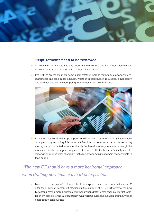

## 5. **Requirements need to be reviewed**

- ★ While aiming for stability, it is also important to carry out post-implementation reviews of new requirements in order to keep them 'fit for purpose'.
- ★ It is right to assess on an on-going basis whether there is room to make reporting requirements and tools more efficient, whether all information requested is necessary and whether potentially overlapping requirements can be streamlined.



★ In that respect, PensionsEurope supports the European Commission (EC) fitness check on supervisory reporting. It is important that fitness checks on supervisory reporting are regularly conducted to ensure that (i) the benefits of requirements outweigh the associated costs, (ii) supervisory authorities work effectively and efficiently and the supervision is good quality, and (iii) that supervisors' activities remain proportionate in their scope.

## *"The new EC should have a more horizontal approach when drafting new financial market legislation."*

★ Based on the outcome of the fitness check, we expect concrete actions from the new EC after the European Parliament elections in the summer of 2019. Furthermore, the new EC should have a more horizontal approach when drafting new financial market legislation by first exploring its consistency with various current legislation and their wider costs/impact on industries.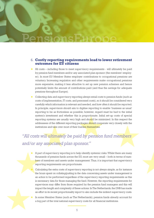# PensionsEurope

## 6. **Costly reporting requirements lead to lower retirement outcomes for EU citizens**

- ★ All costs including those to meet supervisory requirements will ultimately be paid by pension fund members and/or any associated plan sponsor (the members' employer). In most EU Member States employer contributions to occupational pensions are voluntary. Increasing regulation and other requirements make occupational pensions more expensive, making it less attractive to set up new pension schemes and hence potentially limits the amount of contributions paid (and thus the savings for adequate pensions throughout Europe).
- ★ Collecting data and supervisory reporting always entail costs to pension funds (such as costs of implementation, IT costs, and personnel costs), so it should be considered very carefully which information is relevant and needed, and how often it should be reported. In principle, supervisors should aim to digitise reporting to enable 'business as usual' reporting to be as frictionless as possible; however, regard must be had to the initial system's investment and whether this is proportionate. Initial set-up costs of special reporting systems are usually very high and should be minimized. In this respect the addressees of the different reporting packages should cooperate very closely with the institutions and take over most of their burden themselves.

# *"All costs will ultimately be paid by pension fund members and/or any associated plan sponsor."*

A part of supervisory reporting is to help identify systemic risks. Whilst there are many thousands of pension funds across the EU, most are very small – both in terms of numbers of members and assets under management. Thus, it is important that supervisory reporting requirements are proportionate.

Calculating the extra costs of supervisory reporting is not always simple, as for instance the hours spent on collating/putting in the data concerning assets under management is an action to be performed regardless of the supervisory reporting requirements as this is necessary data for those managing the fund. However, the reporting requirements for supervisors may differ from those required by the pension fund managers and this will impact the length and complexity of these actions. In The Netherlands, the DNB has made an effort in its recent proportionality report to also include the indirect supervisory costs.

In some Member States (such as The Netherlands), pension funds already account for a big part of the total national supervisory costs for all financial institutions.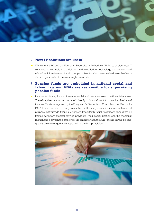

## 7. **New IT solutions are useful**

★ We invite the EC and the European Supervisory Authorities (ESAs) to explore new IT solutions, for example in the field of distributed ledger technology e.g. by storing all related individual transactions in groups, or blocks, which are attached to each other in chronological order to create a single data chain.

## 8. **Pension funds are embedded in national social and labour law and NSAs are responsible for supervising pension funds**

★ Pension funds are, first and foremost, social institutions active on the financial markets. Therefore, they cannot be compared directly to financial institutions such as banks and insurers. This is recognised by the European Parliament and Council and codified in the IORP II Directive which clearly states that "IORPs are pension institutions with a social purpose that provide financial services." Importantly, "such institutions should not be treated as purely financial service providers. Their social function and the triangular relationship between the employee, the employer and the IORP should always be adequately acknowledged and supported as guiding principles."

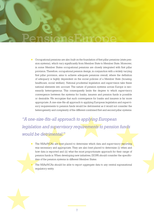

Occupational pensions are also built on the foundation of first pillar pensions (state pension systems), which vary significantly from Member State to Member State. Moreover, in some Member States occupational pensions are closely integrated with first pillar provision. Therefore, occupational pension design, in conjunction with a widely varying first pillar provision, aims to achieve adequate pensions overall, where the definition of adequacy is highly dependent on the social policies of a Member State (housing, healthcare, social welfare). National prudential legislation and supervision take these national elements into account. The nature of pension systems across Europe is necessarily heterogeneous. This consequently limits the degree to which supervisory convergence between the systems for banks, insurers and pension funds is possible or desirable. We recognise that such convergence for banks and insurers is far more appropriate. A one-size-fits-all approach to applying European legislation and supervisory requirements to pension funds would be detrimental as it would not consider the heterogeneity and complexity of the different combined first and second pillar systems.

*"A one-size-fits-all approach to applying European legislation and supervisory requirements to pension funds would be detrimental."*

The NSAs/NCAs are best placed to determine which data and supervisory reporting was necessary and appropriate. They are also best placed to determine (i) when and how data is reported and (ii) what the most proportionate approach for their range of pension funds is. When developing new initiatives, EIOPA should consider the specificities of the pension systems in different Member States.

The NSAs/NCAs should be able to report aggregate data to any central supranational regulatory entity.